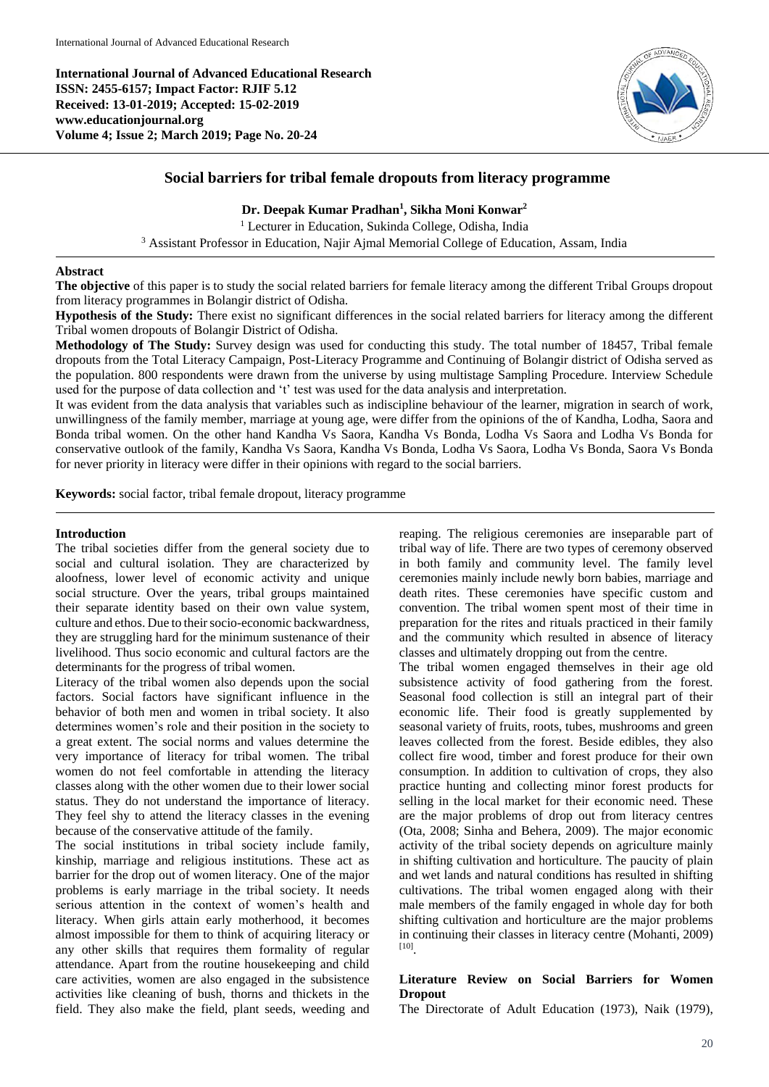**International Journal of Advanced Educational Research ISSN: 2455-6157; Impact Factor: RJIF 5.12 Received: 13-01-2019; Accepted: 15-02-2019 www.educationjournal.org Volume 4; Issue 2; March 2019; Page No. 20-24**



# **Social barriers for tribal female dropouts from literacy programme**

**Dr. Deepak Kumar Pradhan<sup>1</sup> , Sikha Moni Konwar<sup>2</sup>**

<sup>1</sup> Lecturer in Education, Sukinda College, Odisha, India

<sup>3</sup> Assistant Professor in Education, Najir Ajmal Memorial College of Education, Assam, India

# **Abstract**

**The objective** of this paper is to study the social related barriers for female literacy among the different Tribal Groups dropout from literacy programmes in Bolangir district of Odisha.

**Hypothesis of the Study:** There exist no significant differences in the social related barriers for literacy among the different Tribal women dropouts of Bolangir District of Odisha.

**Methodology of The Study:** Survey design was used for conducting this study. The total number of 18457, Tribal female dropouts from the Total Literacy Campaign, Post-Literacy Programme and Continuing of Bolangir district of Odisha served as the population. 800 respondents were drawn from the universe by using multistage Sampling Procedure. Interview Schedule used for the purpose of data collection and 't' test was used for the data analysis and interpretation.

It was evident from the data analysis that variables such as indiscipline behaviour of the learner, migration in search of work, unwillingness of the family member, marriage at young age, were differ from the opinions of the of Kandha, Lodha, Saora and Bonda tribal women. On the other hand Kandha Vs Saora, Kandha Vs Bonda, Lodha Vs Saora and Lodha Vs Bonda for conservative outlook of the family, Kandha Vs Saora, Kandha Vs Bonda, Lodha Vs Saora, Lodha Vs Bonda, Saora Vs Bonda for never priority in literacy were differ in their opinions with regard to the social barriers.

**Keywords:** social factor, tribal female dropout, literacy programme

# **Introduction**

The tribal societies differ from the general society due to social and cultural isolation. They are characterized by aloofness, lower level of economic activity and unique social structure. Over the years, tribal groups maintained their separate identity based on their own value system, culture and ethos. Due to their socio-economic backwardness, they are struggling hard for the minimum sustenance of their livelihood. Thus socio economic and cultural factors are the determinants for the progress of tribal women.

Literacy of the tribal women also depends upon the social factors. Social factors have significant influence in the behavior of both men and women in tribal society. It also determines women's role and their position in the society to a great extent. The social norms and values determine the very importance of literacy for tribal women. The tribal women do not feel comfortable in attending the literacy classes along with the other women due to their lower social status. They do not understand the importance of literacy. They feel shy to attend the literacy classes in the evening because of the conservative attitude of the family.

The social institutions in tribal society include family, kinship, marriage and religious institutions. These act as barrier for the drop out of women literacy. One of the major problems is early marriage in the tribal society. It needs serious attention in the context of women's health and literacy. When girls attain early motherhood, it becomes almost impossible for them to think of acquiring literacy or any other skills that requires them formality of regular attendance. Apart from the routine housekeeping and child care activities, women are also engaged in the subsistence activities like cleaning of bush, thorns and thickets in the field. They also make the field, plant seeds, weeding and

reaping. The religious ceremonies are inseparable part of tribal way of life. There are two types of ceremony observed in both family and community level. The family level ceremonies mainly include newly born babies, marriage and death rites. These ceremonies have specific custom and convention. The tribal women spent most of their time in preparation for the rites and rituals practiced in their family and the community which resulted in absence of literacy classes and ultimately dropping out from the centre.

The tribal women engaged themselves in their age old subsistence activity of food gathering from the forest. Seasonal food collection is still an integral part of their economic life. Their food is greatly supplemented by seasonal variety of fruits, roots, tubes, mushrooms and green leaves collected from the forest. Beside edibles, they also collect fire wood, timber and forest produce for their own consumption. In addition to cultivation of crops, they also practice hunting and collecting minor forest products for selling in the local market for their economic need. These are the major problems of drop out from literacy centres (Ota, 2008; Sinha and Behera, 2009). The major economic activity of the tribal society depends on agriculture mainly in shifting cultivation and horticulture. The paucity of plain and wet lands and natural conditions has resulted in shifting cultivations. The tribal women engaged along with their male members of the family engaged in whole day for both shifting cultivation and horticulture are the major problems in continuing their classes in literacy centre (Mohanti, 2009) [10] .

# **Literature Review on Social Barriers for Women Dropout**

The Directorate of Adult Education (1973), Naik (1979),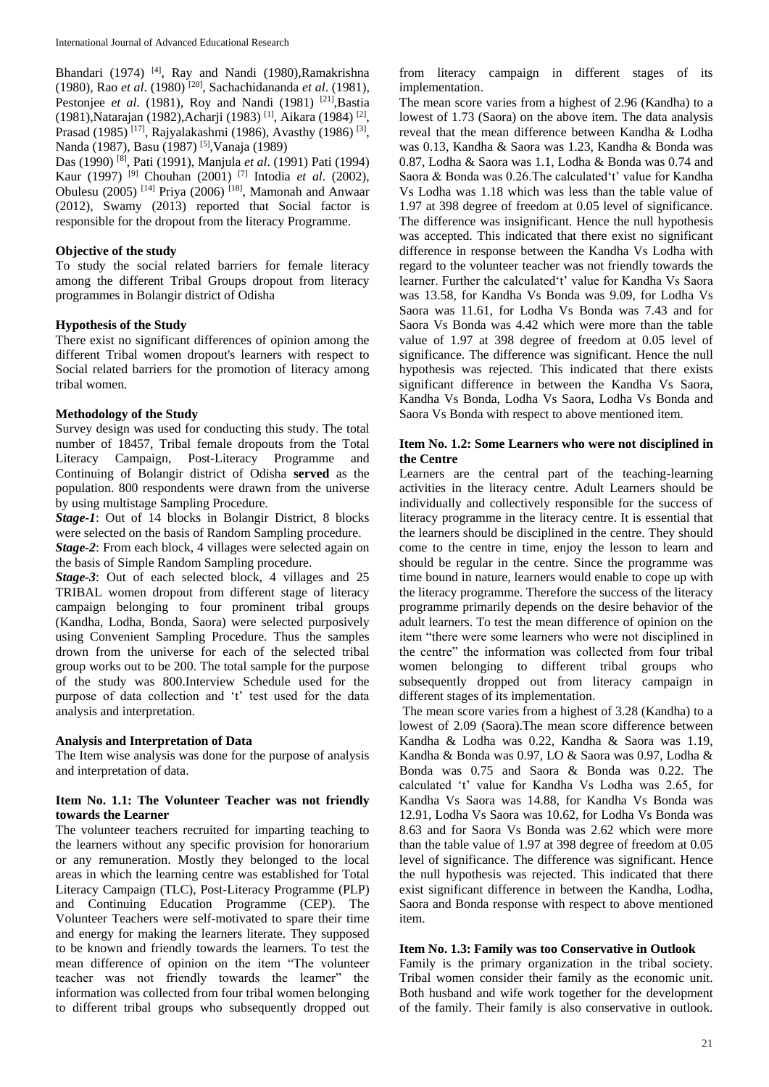Bhandari (1974)<sup>[4]</sup>, Ray and Nandi (1980), Ramakrishna (1980), Rao *et al*. (1980) [20] , Sachachidananda *et al*. (1981), Pestonjee *et al.* (1981), Roy and Nandi (1981) <sup>[21]</sup>, Bastia (1981),Natarajan (1982),Acharji (1983) [1], Aikara (1984) [2] , Prasad (1985)<sup>[17]</sup>, Rajyalakashmi (1986), Avasthy (1986)<sup>[3]</sup>, Nanda (1987), Basu (1987) [5], Vanaja (1989)

Das (1990) [8] , Pati (1991), Manjula *et al*. (1991) Pati (1994) Kaur (1997) [9] Chouhan (2001) [7] Intodia *et al*. (2002), Obulesu (2005)<sup>[14]</sup> Priya (2006)<sup>[18]</sup>, Mamonah and Anwaar (2012), Swamy (2013) reported that Social factor is responsible for the dropout from the literacy Programme.

# **Objective of the study**

To study the social related barriers for female literacy among the different Tribal Groups dropout from literacy programmes in Bolangir district of Odisha

### **Hypothesis of the Study**

There exist no significant differences of opinion among the different Tribal women dropout's learners with respect to Social related barriers for the promotion of literacy among tribal women.

### **Methodology of the Study**

Survey design was used for conducting this study. The total number of 18457, Tribal female dropouts from the Total Literacy Campaign, Post-Literacy Programme and Continuing of Bolangir district of Odisha **served** as the population. 800 respondents were drawn from the universe by using multistage Sampling Procedure.

*Stage-1*: Out of 14 blocks in Bolangir District, 8 blocks were selected on the basis of Random Sampling procedure.

*Stage-2*: From each block, 4 villages were selected again on the basis of Simple Random Sampling procedure.

*Stage-3*: Out of each selected block, 4 villages and 25 TRIBAL women dropout from different stage of literacy campaign belonging to four prominent tribal groups (Kandha, Lodha, Bonda, Saora) were selected purposively using Convenient Sampling Procedure. Thus the samples drown from the universe for each of the selected tribal group works out to be 200. The total sample for the purpose of the study was 800.Interview Schedule used for the purpose of data collection and 't' test used for the data analysis and interpretation.

### **Analysis and Interpretation of Data**

The Item wise analysis was done for the purpose of analysis and interpretation of data.

# **Item No. 1.1: The Volunteer Teacher was not friendly towards the Learner**

The volunteer teachers recruited for imparting teaching to the learners without any specific provision for honorarium or any remuneration. Mostly they belonged to the local areas in which the learning centre was established for Total Literacy Campaign (TLC), Post-Literacy Programme (PLP) and Continuing Education Programme (CEP). The Volunteer Teachers were self-motivated to spare their time and energy for making the learners literate. They supposed to be known and friendly towards the learners. To test the mean difference of opinion on the item "The volunteer teacher was not friendly towards the learner" the information was collected from four tribal women belonging to different tribal groups who subsequently dropped out

from literacy campaign in different stages of its implementation.

The mean score varies from a highest of 2.96 (Kandha) to a lowest of 1.73 (Saora) on the above item. The data analysis reveal that the mean difference between Kandha & Lodha was 0.13, Kandha & Saora was 1.23, Kandha & Bonda was 0.87, Lodha & Saora was 1.1, Lodha & Bonda was 0.74 and Saora & Bonda was 0.26.The calculated't' value for Kandha Vs Lodha was 1.18 which was less than the table value of 1.97 at 398 degree of freedom at 0.05 level of significance. The difference was insignificant. Hence the null hypothesis was accepted. This indicated that there exist no significant difference in response between the Kandha Vs Lodha with regard to the volunteer teacher was not friendly towards the learner. Further the calculated't' value for Kandha Vs Saora was 13.58, for Kandha Vs Bonda was 9.09, for Lodha Vs Saora was 11.61, for Lodha Vs Bonda was 7.43 and for Saora Vs Bonda was 4.42 which were more than the table value of 1.97 at 398 degree of freedom at 0.05 level of significance. The difference was significant. Hence the null hypothesis was rejected. This indicated that there exists significant difference in between the Kandha Vs Saora, Kandha Vs Bonda, Lodha Vs Saora, Lodha Vs Bonda and Saora Vs Bonda with respect to above mentioned item.

### **Item No. 1.2: Some Learners who were not disciplined in the Centre**

Learners are the central part of the teaching-learning activities in the literacy centre. Adult Learners should be individually and collectively responsible for the success of literacy programme in the literacy centre. It is essential that the learners should be disciplined in the centre. They should come to the centre in time, enjoy the lesson to learn and should be regular in the centre. Since the programme was time bound in nature, learners would enable to cope up with the literacy programme. Therefore the success of the literacy programme primarily depends on the desire behavior of the adult learners. To test the mean difference of opinion on the item "there were some learners who were not disciplined in the centre" the information was collected from four tribal women belonging to different tribal groups who subsequently dropped out from literacy campaign in different stages of its implementation.

The mean score varies from a highest of 3.28 (Kandha) to a lowest of 2.09 (Saora).The mean score difference between Kandha & Lodha was 0.22, Kandha & Saora was 1.19, Kandha & Bonda was 0.97, LO & Saora was 0.97, Lodha & Bonda was 0.75 and Saora & Bonda was 0.22. The calculated 't' value for Kandha Vs Lodha was 2.65, for Kandha Vs Saora was 14.88, for Kandha Vs Bonda was 12.91, Lodha Vs Saora was 10.62, for Lodha Vs Bonda was 8.63 and for Saora Vs Bonda was 2.62 which were more than the table value of 1.97 at 398 degree of freedom at 0.05 level of significance. The difference was significant. Hence the null hypothesis was rejected. This indicated that there exist significant difference in between the Kandha, Lodha, Saora and Bonda response with respect to above mentioned item.

### **Item No. 1.3: Family was too Conservative in Outlook**

Family is the primary organization in the tribal society. Tribal women consider their family as the economic unit. Both husband and wife work together for the development of the family. Their family is also conservative in outlook.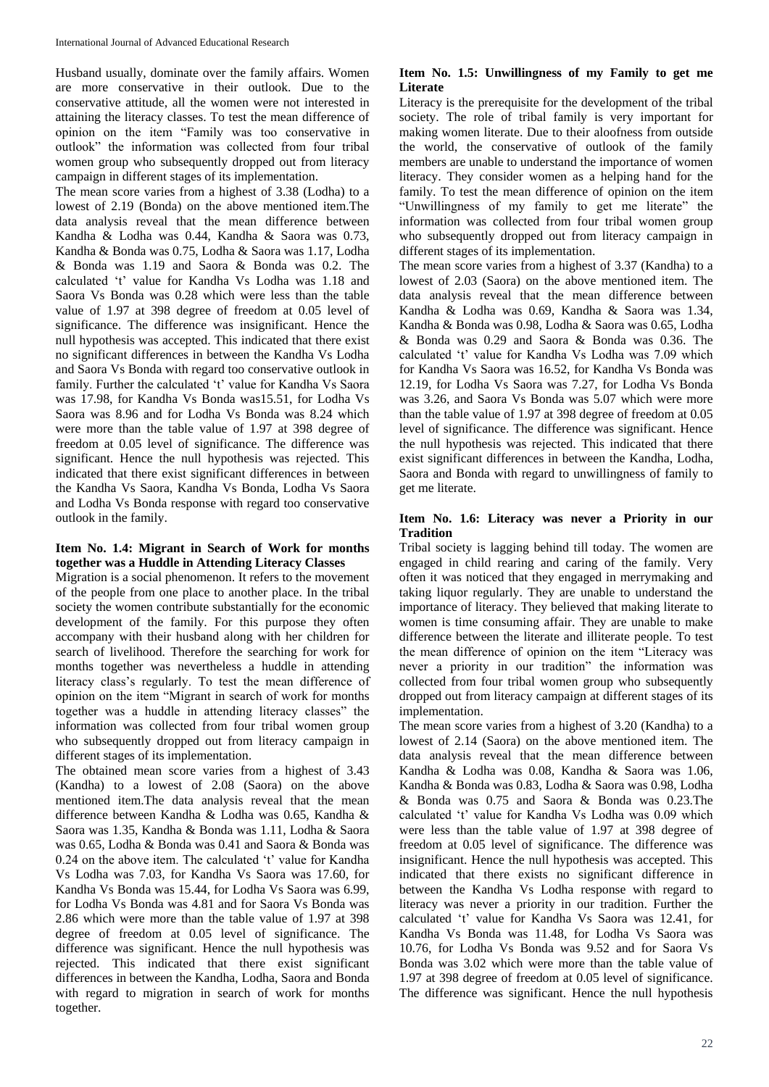Husband usually, dominate over the family affairs. Women are more conservative in their outlook. Due to the conservative attitude, all the women were not interested in attaining the literacy classes. To test the mean difference of opinion on the item "Family was too conservative in outlook" the information was collected from four tribal women group who subsequently dropped out from literacy campaign in different stages of its implementation.

The mean score varies from a highest of 3.38 (Lodha) to a lowest of 2.19 (Bonda) on the above mentioned item.The data analysis reveal that the mean difference between Kandha & Lodha was 0.44, Kandha & Saora was 0.73, Kandha & Bonda was 0.75, Lodha & Saora was 1.17, Lodha & Bonda was 1.19 and Saora & Bonda was 0.2. The calculated 't' value for Kandha Vs Lodha was 1.18 and Saora Vs Bonda was 0.28 which were less than the table value of 1.97 at 398 degree of freedom at 0.05 level of significance. The difference was insignificant. Hence the null hypothesis was accepted. This indicated that there exist no significant differences in between the Kandha Vs Lodha and Saora Vs Bonda with regard too conservative outlook in family. Further the calculated 't' value for Kandha Vs Saora was 17.98, for Kandha Vs Bonda was15.51, for Lodha Vs Saora was 8.96 and for Lodha Vs Bonda was 8.24 which were more than the table value of 1.97 at 398 degree of freedom at 0.05 level of significance. The difference was significant. Hence the null hypothesis was rejected. This indicated that there exist significant differences in between the Kandha Vs Saora, Kandha Vs Bonda, Lodha Vs Saora and Lodha Vs Bonda response with regard too conservative outlook in the family.

# **Item No. 1.4: Migrant in Search of Work for months together was a Huddle in Attending Literacy Classes**

Migration is a social phenomenon. It refers to the movement of the people from one place to another place. In the tribal society the women contribute substantially for the economic development of the family. For this purpose they often accompany with their husband along with her children for search of livelihood. Therefore the searching for work for months together was nevertheless a huddle in attending literacy class's regularly. To test the mean difference of opinion on the item "Migrant in search of work for months together was a huddle in attending literacy classes" the information was collected from four tribal women group who subsequently dropped out from literacy campaign in different stages of its implementation.

The obtained mean score varies from a highest of 3.43 (Kandha) to a lowest of 2.08 (Saora) on the above mentioned item.The data analysis reveal that the mean difference between Kandha & Lodha was 0.65, Kandha & Saora was 1.35, Kandha & Bonda was 1.11, Lodha & Saora was 0.65, Lodha & Bonda was 0.41 and Saora & Bonda was 0.24 on the above item. The calculated 't' value for Kandha Vs Lodha was 7.03, for Kandha Vs Saora was 17.60, for Kandha Vs Bonda was 15.44, for Lodha Vs Saora was 6.99, for Lodha Vs Bonda was 4.81 and for Saora Vs Bonda was 2.86 which were more than the table value of 1.97 at 398 degree of freedom at 0.05 level of significance. The difference was significant. Hence the null hypothesis was rejected. This indicated that there exist significant differences in between the Kandha, Lodha, Saora and Bonda with regard to migration in search of work for months together.

# **Item No. 1.5: Unwillingness of my Family to get me Literate**

Literacy is the prerequisite for the development of the tribal society. The role of tribal family is very important for making women literate. Due to their aloofness from outside the world, the conservative of outlook of the family members are unable to understand the importance of women literacy. They consider women as a helping hand for the family. To test the mean difference of opinion on the item "Unwillingness of my family to get me literate" the information was collected from four tribal women group who subsequently dropped out from literacy campaign in different stages of its implementation.

The mean score varies from a highest of 3.37 (Kandha) to a lowest of 2.03 (Saora) on the above mentioned item. The data analysis reveal that the mean difference between Kandha & Lodha was 0.69, Kandha & Saora was 1.34, Kandha & Bonda was 0.98, Lodha & Saora was 0.65, Lodha & Bonda was 0.29 and Saora & Bonda was 0.36. The calculated 't' value for Kandha Vs Lodha was 7.09 which for Kandha Vs Saora was 16.52, for Kandha Vs Bonda was 12.19, for Lodha Vs Saora was 7.27, for Lodha Vs Bonda was 3.26, and Saora Vs Bonda was 5.07 which were more than the table value of 1.97 at 398 degree of freedom at 0.05 level of significance. The difference was significant. Hence the null hypothesis was rejected. This indicated that there exist significant differences in between the Kandha, Lodha, Saora and Bonda with regard to unwillingness of family to get me literate.

# **Item No. 1.6: Literacy was never a Priority in our Tradition**

Tribal society is lagging behind till today. The women are engaged in child rearing and caring of the family. Very often it was noticed that they engaged in merrymaking and taking liquor regularly. They are unable to understand the importance of literacy. They believed that making literate to women is time consuming affair. They are unable to make difference between the literate and illiterate people. To test the mean difference of opinion on the item "Literacy was never a priority in our tradition" the information was collected from four tribal women group who subsequently dropped out from literacy campaign at different stages of its implementation.

The mean score varies from a highest of 3.20 (Kandha) to a lowest of 2.14 (Saora) on the above mentioned item. The data analysis reveal that the mean difference between Kandha & Lodha was 0.08, Kandha & Saora was 1.06, Kandha & Bonda was 0.83, Lodha & Saora was 0.98, Lodha & Bonda was 0.75 and Saora & Bonda was 0.23.The calculated 't' value for Kandha Vs Lodha was 0.09 which were less than the table value of 1.97 at 398 degree of freedom at 0.05 level of significance. The difference was insignificant. Hence the null hypothesis was accepted. This indicated that there exists no significant difference in between the Kandha Vs Lodha response with regard to literacy was never a priority in our tradition. Further the calculated 't' value for Kandha Vs Saora was 12.41, for Kandha Vs Bonda was 11.48, for Lodha Vs Saora was 10.76, for Lodha Vs Bonda was 9.52 and for Saora Vs Bonda was 3.02 which were more than the table value of 1.97 at 398 degree of freedom at 0.05 level of significance. The difference was significant. Hence the null hypothesis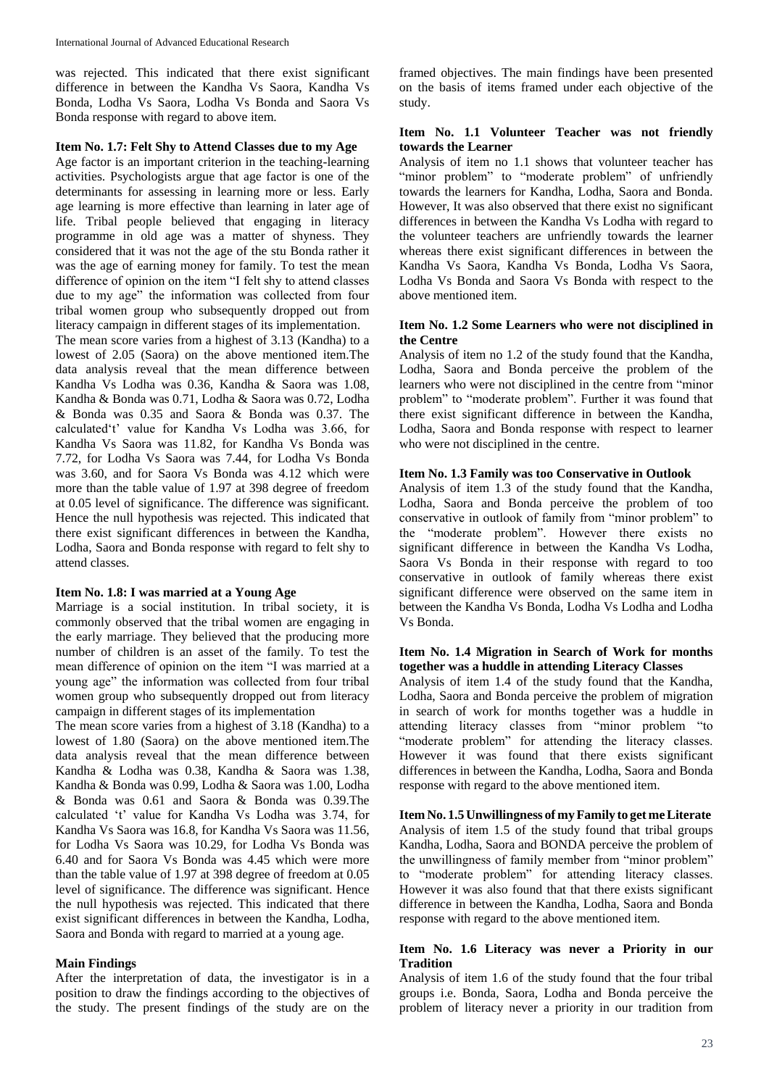was rejected. This indicated that there exist significant difference in between the Kandha Vs Saora, Kandha Vs Bonda, Lodha Vs Saora, Lodha Vs Bonda and Saora Vs Bonda response with regard to above item.

# **Item No. 1.7: Felt Shy to Attend Classes due to my Age**

Age factor is an important criterion in the teaching-learning activities. Psychologists argue that age factor is one of the determinants for assessing in learning more or less. Early age learning is more effective than learning in later age of life. Tribal people believed that engaging in literacy programme in old age was a matter of shyness. They considered that it was not the age of the stu Bonda rather it was the age of earning money for family. To test the mean difference of opinion on the item "I felt shy to attend classes due to my age" the information was collected from four tribal women group who subsequently dropped out from literacy campaign in different stages of its implementation.

The mean score varies from a highest of 3.13 (Kandha) to a lowest of 2.05 (Saora) on the above mentioned item.The data analysis reveal that the mean difference between Kandha Vs Lodha was 0.36, Kandha & Saora was 1.08, Kandha & Bonda was 0.71, Lodha & Saora was 0.72, Lodha & Bonda was 0.35 and Saora & Bonda was 0.37. The calculated't' value for Kandha Vs Lodha was 3.66, for Kandha Vs Saora was 11.82, for Kandha Vs Bonda was 7.72, for Lodha Vs Saora was 7.44, for Lodha Vs Bonda was 3.60, and for Saora Vs Bonda was 4.12 which were more than the table value of 1.97 at 398 degree of freedom at 0.05 level of significance. The difference was significant. Hence the null hypothesis was rejected. This indicated that there exist significant differences in between the Kandha, Lodha, Saora and Bonda response with regard to felt shy to attend classes.

### **Item No. 1.8: I was married at a Young Age**

Marriage is a social institution. In tribal society, it is commonly observed that the tribal women are engaging in the early marriage. They believed that the producing more number of children is an asset of the family. To test the mean difference of opinion on the item "I was married at a young age" the information was collected from four tribal women group who subsequently dropped out from literacy campaign in different stages of its implementation

The mean score varies from a highest of 3.18 (Kandha) to a lowest of 1.80 (Saora) on the above mentioned item.The data analysis reveal that the mean difference between Kandha & Lodha was 0.38, Kandha & Saora was 1.38, Kandha & Bonda was 0.99, Lodha & Saora was 1.00, Lodha & Bonda was 0.61 and Saora & Bonda was 0.39.The calculated 't' value for Kandha Vs Lodha was 3.74, for Kandha Vs Saora was 16.8, for Kandha Vs Saora was 11.56, for Lodha Vs Saora was 10.29, for Lodha Vs Bonda was 6.40 and for Saora Vs Bonda was 4.45 which were more than the table value of 1.97 at 398 degree of freedom at 0.05 level of significance. The difference was significant. Hence the null hypothesis was rejected. This indicated that there exist significant differences in between the Kandha, Lodha, Saora and Bonda with regard to married at a young age.

### **Main Findings**

After the interpretation of data, the investigator is in a position to draw the findings according to the objectives of the study. The present findings of the study are on the

framed objectives. The main findings have been presented on the basis of items framed under each objective of the study.

### **Item No. 1.1 Volunteer Teacher was not friendly towards the Learner**

Analysis of item no 1.1 shows that volunteer teacher has "minor problem" to "moderate problem" of unfriendly towards the learners for Kandha, Lodha, Saora and Bonda. However, It was also observed that there exist no significant differences in between the Kandha Vs Lodha with regard to the volunteer teachers are unfriendly towards the learner whereas there exist significant differences in between the Kandha Vs Saora, Kandha Vs Bonda, Lodha Vs Saora, Lodha Vs Bonda and Saora Vs Bonda with respect to the above mentioned item.

# **Item No. 1.2 Some Learners who were not disciplined in the Centre**

Analysis of item no 1.2 of the study found that the Kandha, Lodha, Saora and Bonda perceive the problem of the learners who were not disciplined in the centre from "minor problem" to "moderate problem". Further it was found that there exist significant difference in between the Kandha, Lodha, Saora and Bonda response with respect to learner who were not disciplined in the centre.

#### **Item No. 1.3 Family was too Conservative in Outlook**

Analysis of item 1.3 of the study found that the Kandha, Lodha, Saora and Bonda perceive the problem of too conservative in outlook of family from "minor problem" to the "moderate problem". However there exists no significant difference in between the Kandha Vs Lodha, Saora Vs Bonda in their response with regard to too conservative in outlook of family whereas there exist significant difference were observed on the same item in between the Kandha Vs Bonda, Lodha Vs Lodha and Lodha Vs Bonda.

### **Item No. 1.4 Migration in Search of Work for months together was a huddle in attending Literacy Classes**

Analysis of item 1.4 of the study found that the Kandha, Lodha, Saora and Bonda perceive the problem of migration in search of work for months together was a huddle in attending literacy classes from "minor problem "to "moderate problem" for attending the literacy classes. However it was found that there exists significant differences in between the Kandha, Lodha, Saora and Bonda response with regard to the above mentioned item.

**Item No. 1.5 Unwillingness of myFamily to get meLiterate** Analysis of item 1.5 of the study found that tribal groups Kandha, Lodha, Saora and BONDA perceive the problem of the unwillingness of family member from "minor problem" to "moderate problem" for attending literacy classes. However it was also found that that there exists significant difference in between the Kandha, Lodha, Saora and Bonda response with regard to the above mentioned item.

### **Item No. 1.6 Literacy was never a Priority in our Tradition**

Analysis of item 1.6 of the study found that the four tribal groups i.e. Bonda, Saora, Lodha and Bonda perceive the problem of literacy never a priority in our tradition from